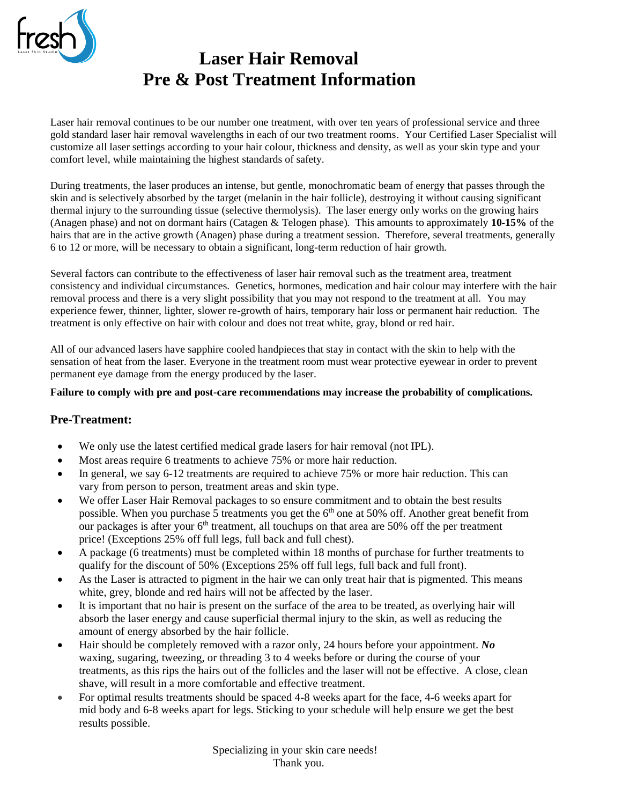

Laser hair removal continues to be our number one treatment, with over ten years of professional service and three gold standard laser hair removal wavelengths in each of our two treatment rooms. Your Certified Laser Specialist will customize all laser settings according to your hair colour, thickness and density, as well as your skin type and your comfort level, while maintaining the highest standards of safety.

During treatments, the laser produces an intense, but gentle, monochromatic beam of energy that passes through the skin and is selectively absorbed by the target (melanin in the hair follicle), destroying it without causing significant thermal injury to the surrounding tissue (selective thermolysis). The laser energy only works on the growing hairs (Anagen phase) and not on dormant hairs (Catagen & Telogen phase). This amounts to approximately **10-15%** of the hairs that are in the active growth (Anagen) phase during a treatment session. Therefore, several treatments, generally 6 to 12 or more, will be necessary to obtain a significant, long-term reduction of hair growth.

Several factors can contribute to the effectiveness of laser hair removal such as the treatment area, treatment consistency and individual circumstances. Genetics, hormones, medication and hair colour may interfere with the hair removal process and there is a very slight possibility that you may not respond to the treatment at all. You may experience fewer, thinner, lighter, slower re-growth of hairs, temporary hair loss or permanent hair reduction. The treatment is only effective on hair with colour and does not treat white, gray, blond or red hair.

All of our advanced lasers have sapphire cooled handpieces that stay in contact with the skin to help with the sensation of heat from the laser. Everyone in the treatment room must wear protective eyewear in order to prevent permanent eye damage from the energy produced by the laser.

#### **Failure to comply with pre and post-care recommendations may increase the probability of complications.**

#### **Pre-Treatment:**

- We only use the latest certified medical grade lasers for hair removal (not IPL).
- Most areas require 6 treatments to achieve 75% or more hair reduction.
- In general, we say 6-12 treatments are required to achieve 75% or more hair reduction. This can vary from person to person, treatment areas and skin type.
- We offer Laser Hair Removal packages to so ensure commitment and to obtain the best results possible. When you purchase 5 treatments you get the  $6<sup>th</sup>$  one at 50% off. Another great benefit from our packages is after your  $6<sup>th</sup>$  treatment, all touchups on that area are 50% off the per treatment price! (Exceptions 25% off full legs, full back and full chest).
- A package (6 treatments) must be completed within 18 months of purchase for further treatments to qualify for the discount of 50% (Exceptions 25% off full legs, full back and full front).
- As the Laser is attracted to pigment in the hair we can only treat hair that is pigmented. This means white, grey, blonde and red hairs will not be affected by the laser.
- It is important that no hair is present on the surface of the area to be treated, as overlying hair will absorb the laser energy and cause superficial thermal injury to the skin, as well as reducing the amount of energy absorbed by the hair follicle.
- Hair should be completely removed with a razor only, 24 hours before your appointment. *No* waxing, sugaring, tweezing, or threading 3 to 4 weeks before or during the course of your treatments, as this rips the hairs out of the follicles and the laser will not be effective. A close, clean shave, will result in a more comfortable and effective treatment.
- For optimal results treatments should be spaced 4-8 weeks apart for the face, 4-6 weeks apart for mid body and 6-8 weeks apart for legs. Sticking to your schedule will help ensure we get the best results possible.

Specializing in your skin care needs! Thank you.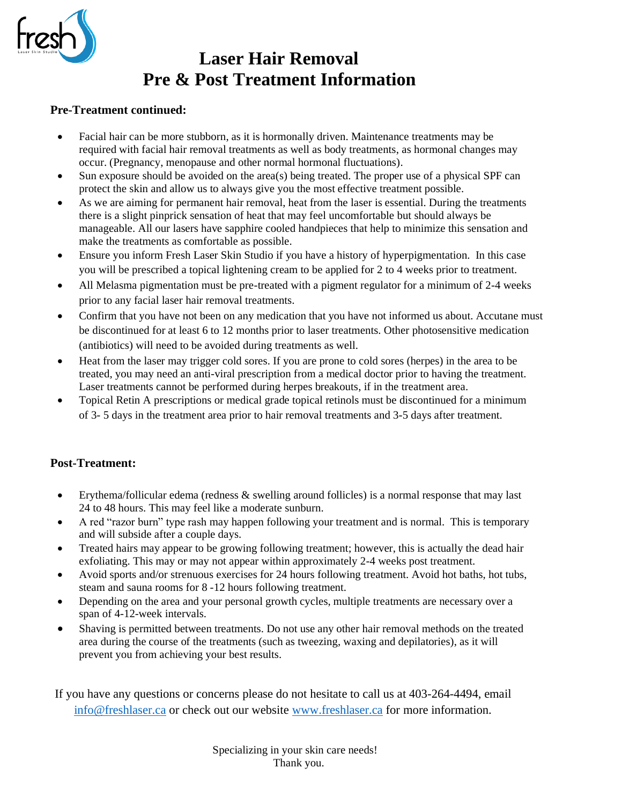

#### **Pre-Treatment continued:**

- Facial hair can be more stubborn, as it is hormonally driven. Maintenance treatments may be required with facial hair removal treatments as well as body treatments, as hormonal changes may occur. (Pregnancy, menopause and other normal hormonal fluctuations).
- Sun exposure should be avoided on the area(s) being treated. The proper use of a physical SPF can protect the skin and allow us to always give you the most effective treatment possible.
- As we are aiming for permanent hair removal, heat from the laser is essential. During the treatments there is a slight pinprick sensation of heat that may feel uncomfortable but should always be manageable. All our lasers have sapphire cooled handpieces that help to minimize this sensation and make the treatments as comfortable as possible.
- Ensure you inform Fresh Laser Skin Studio if you have a history of hyperpigmentation. In this case you will be prescribed a topical lightening cream to be applied for 2 to 4 weeks prior to treatment.
- All Melasma pigmentation must be pre-treated with a pigment regulator for a minimum of 2-4 weeks prior to any facial laser hair removal treatments.
- Confirm that you have not been on any medication that you have not informed us about. Accutane must be discontinued for at least 6 to 12 months prior to laser treatments. Other photosensitive medication (antibiotics) will need to be avoided during treatments as well.
- Heat from the laser may trigger cold sores. If you are prone to cold sores (herpes) in the area to be treated, you may need an anti-viral prescription from a medical doctor prior to having the treatment. Laser treatments cannot be performed during herpes breakouts, if in the treatment area.
- Topical Retin A prescriptions or medical grade topical retinols must be discontinued for a minimum of 3- 5 days in the treatment area prior to hair removal treatments and 3-5 days after treatment.

## **Post-Treatment:**

- Erythema/follicular edema (redness & swelling around follicles) is a normal response that may last 24 to 48 hours. This may feel like a moderate sunburn.
- A red "razor burn" type rash may happen following your treatment and is normal. This is temporary and will subside after a couple days.
- Treated hairs may appear to be growing following treatment; however, this is actually the dead hair exfoliating. This may or may not appear within approximately 2-4 weeks post treatment.
- Avoid sports and/or strenuous exercises for 24 hours following treatment. Avoid hot baths, hot tubs, steam and sauna rooms for 8 -12 hours following treatment.
- Depending on the area and your personal growth cycles, multiple treatments are necessary over a span of 4-12-week intervals.
- Shaving is permitted between treatments. Do not use any other hair removal methods on the treated area during the course of the treatments (such as tweezing, waxing and depilatories), as it will prevent you from achieving your best results.

If you have any questions or concerns please do not hesitate to call us at 403-264-4494, email [info@freshlaser.ca](mailto:info@freshlaser.ca) or check out our website [www.freshlaser.ca](http://www.freshlaser.ca/) for more information.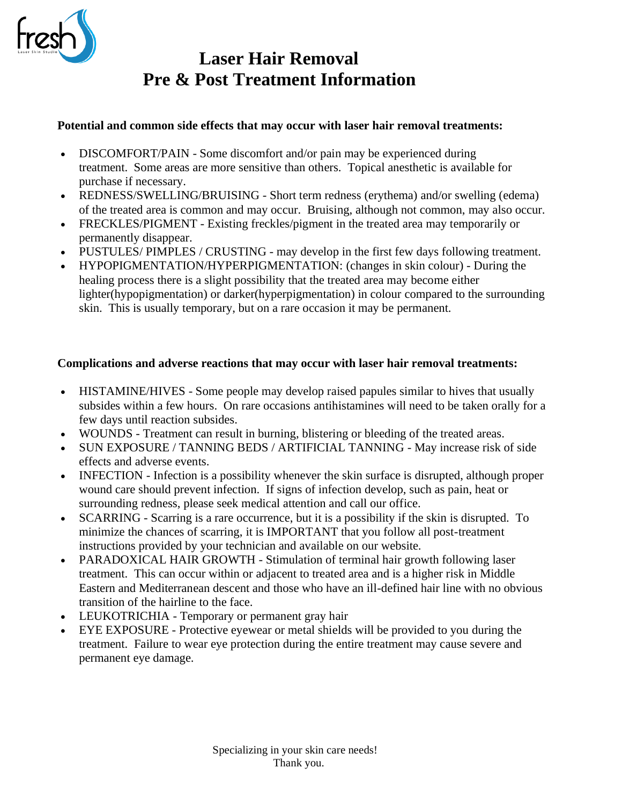

## **Potential and common side effects that may occur with laser hair removal treatments:**

- DISCOMFORT/PAIN Some discomfort and/or pain may be experienced during treatment. Some areas are more sensitive than others. Topical anesthetic is available for purchase if necessary.
- REDNESS/SWELLING/BRUISING Short term redness (erythema) and/or swelling (edema) of the treated area is common and may occur. Bruising, although not common, may also occur.
- FRECKLES/PIGMENT Existing freckles/pigment in the treated area may temporarily or permanently disappear.
- PUSTULES/ PIMPLES / CRUSTING may develop in the first few days following treatment.
- HYPOPIGMENTATION/HYPERPIGMENTATION: (changes in skin colour) During the healing process there is a slight possibility that the treated area may become either lighter(hypopigmentation) or darker(hyperpigmentation) in colour compared to the surrounding skin. This is usually temporary, but on a rare occasion it may be permanent.

## **Complications and adverse reactions that may occur with laser hair removal treatments:**

- HISTAMINE/HIVES Some people may develop raised papules similar to hives that usually subsides within a few hours. On rare occasions antihistamines will need to be taken orally for a few days until reaction subsides.
- WOUNDS Treatment can result in burning, blistering or bleeding of the treated areas.
- SUN EXPOSURE / TANNING BEDS / ARTIFICIAL TANNING May increase risk of side effects and adverse events.
- INFECTION Infection is a possibility whenever the skin surface is disrupted, although proper wound care should prevent infection. If signs of infection develop, such as pain, heat or surrounding redness, please seek medical attention and call our office.
- SCARRING Scarring is a rare occurrence, but it is a possibility if the skin is disrupted. To minimize the chances of scarring, it is IMPORTANT that you follow all post-treatment instructions provided by your technician and available on our website.
- PARADOXICAL HAIR GROWTH Stimulation of terminal hair growth following laser treatment. This can occur within or adjacent to treated area and is a higher risk in Middle Eastern and Mediterranean descent and those who have an ill-defined hair line with no obvious transition of the hairline to the face.
- LEUKOTRICHIA Temporary or permanent gray hair
- EYE EXPOSURE Protective eyewear or metal shields will be provided to you during the treatment. Failure to wear eye protection during the entire treatment may cause severe and permanent eye damage.